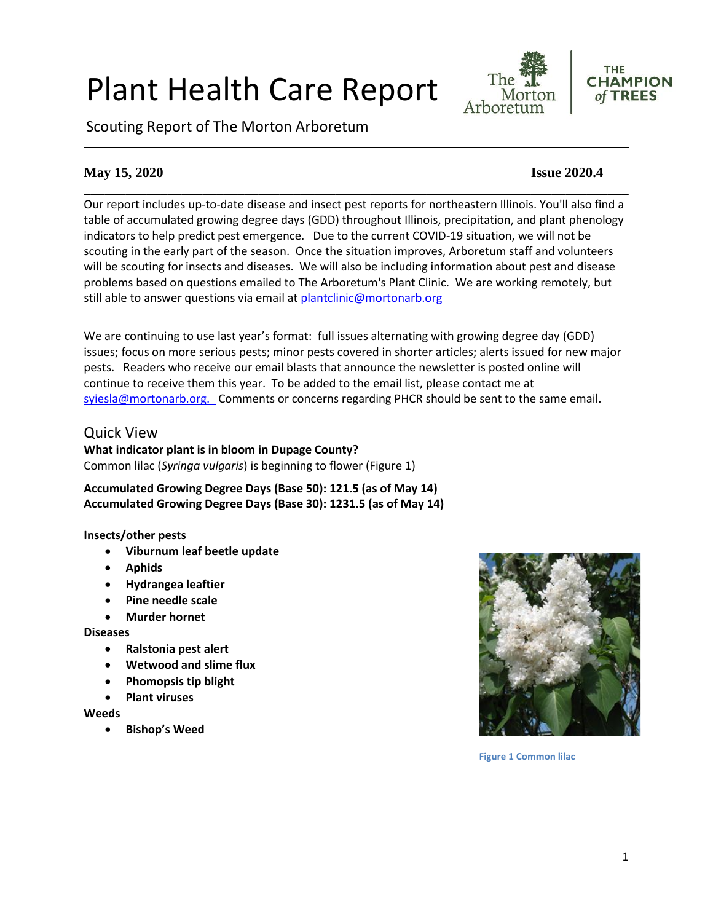# Plant Health Care Report

Scouting Report of The Morton Arboretum



# **May 15, 2020 Issue 2020.4**

**\_\_\_\_\_\_\_\_\_\_\_\_\_\_\_\_\_\_\_\_\_\_\_\_\_\_\_\_\_\_\_\_\_\_\_\_\_\_\_\_\_\_\_\_\_\_\_\_\_\_\_\_\_\_\_\_\_\_\_\_\_\_\_\_\_\_\_\_\_\_\_\_\_\_\_\_\_\_** Our report includes up-to-date disease and insect pest reports for northeastern Illinois. You'll also find a table of accumulated growing degree days (GDD) throughout Illinois, precipitation, and plant phenology indicators to help predict pest emergence. Due to the current COVID-19 situation, we will not be scouting in the early part of the season. Once the situation improves, Arboretum staff and volunteers will be scouting for insects and diseases. We will also be including information about pest and disease problems based on questions emailed to The Arboretum's Plant Clinic. We are working remotely, but still able to answer questions via email at [plantclinic@mortonarb.org](mailto:plantclinic@mortonarb.org)

We are continuing to use last year's format: full issues alternating with growing degree day (GDD) issues; focus on more serious pests; minor pests covered in shorter articles; alerts issued for new major pests. Readers who receive our email blasts that announce the newsletter is posted online will continue to receive them this year. To be added to the email list, please contact me at [syiesla@mortonarb.org.](mailto:syiesla@mortonarb.org) Comments or concerns regarding PHCR should be sent to the same email.

# Quick View

**What indicator plant is in bloom in Dupage County?** Common lilac (*Syringa vulgaris*) is beginning to flower (Figure 1)

**Accumulated Growing Degree Days (Base 50): 121.5 (as of May 14) Accumulated Growing Degree Days (Base 30): 1231.5 (as of May 14)**

#### **Insects/other pests**

- **Viburnum leaf beetle update**
- **Aphids**
- **Hydrangea leaftier**
- **Pine needle scale**
- **Murder hornet**

**Diseases**

- **Ralstonia pest alert**
- **Wetwood and slime flux**
- **Phomopsis tip blight**
- **Plant viruses**

**Weeds**

• **Bishop's Weed**



**Figure 1 Common lilac**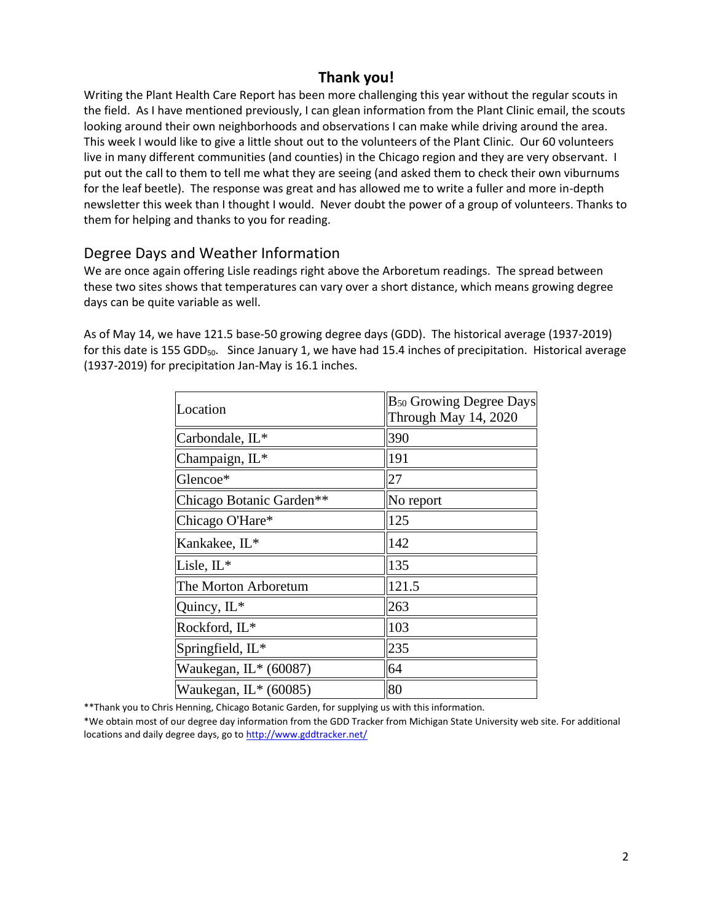# **Thank you!**

Writing the Plant Health Care Report has been more challenging this year without the regular scouts in the field. As I have mentioned previously, I can glean information from the Plant Clinic email, the scouts looking around their own neighborhoods and observations I can make while driving around the area. This week I would like to give a little shout out to the volunteers of the Plant Clinic. Our 60 volunteers live in many different communities (and counties) in the Chicago region and they are very observant. I put out the call to them to tell me what they are seeing (and asked them to check their own viburnums for the leaf beetle). The response was great and has allowed me to write a fuller and more in-depth newsletter this week than I thought I would. Never doubt the power of a group of volunteers. Thanks to them for helping and thanks to you for reading.

## Degree Days and Weather Information

We are once again offering Lisle readings right above the Arboretum readings. The spread between these two sites shows that temperatures can vary over a short distance, which means growing degree days can be quite variable as well.

As of May 14, we have 121.5 base-50 growing degree days (GDD). The historical average (1937-2019) for this date is 155 GDD<sub>50</sub>. Since January 1, we have had 15.4 inches of precipitation. Historical average (1937-2019) for precipitation Jan-May is 16.1 inches.

| Location                 | $B_{50}$ Growing Degree Days<br>Through May 14, 2020 |
|--------------------------|------------------------------------------------------|
| Carbondale, IL*          | 390                                                  |
| Champaign, IL*           | 191                                                  |
| Glencoe*                 | 27                                                   |
| Chicago Botanic Garden** | No report                                            |
| Chicago O'Hare*          | 125                                                  |
| Kankakee, IL*            | 142                                                  |
| Lisle, $IL^*$            | 135                                                  |
| The Morton Arboretum     | 121.5                                                |
| Quincy, IL*              | 263                                                  |
| Rockford, IL*            | 103                                                  |
| Springfield, IL*         | 235                                                  |
| Waukegan, $IL*$ (60087)  | 64                                                   |
| Waukegan, IL* (60085)    | 80                                                   |

\*\*Thank you to Chris Henning, Chicago Botanic Garden, for supplying us with this information.

\*We obtain most of our degree day information from the GDD Tracker from Michigan State University web site. For additional locations and daily degree days, go t[o http://www.gddtracker.net/](http://www.gddtracker.net/)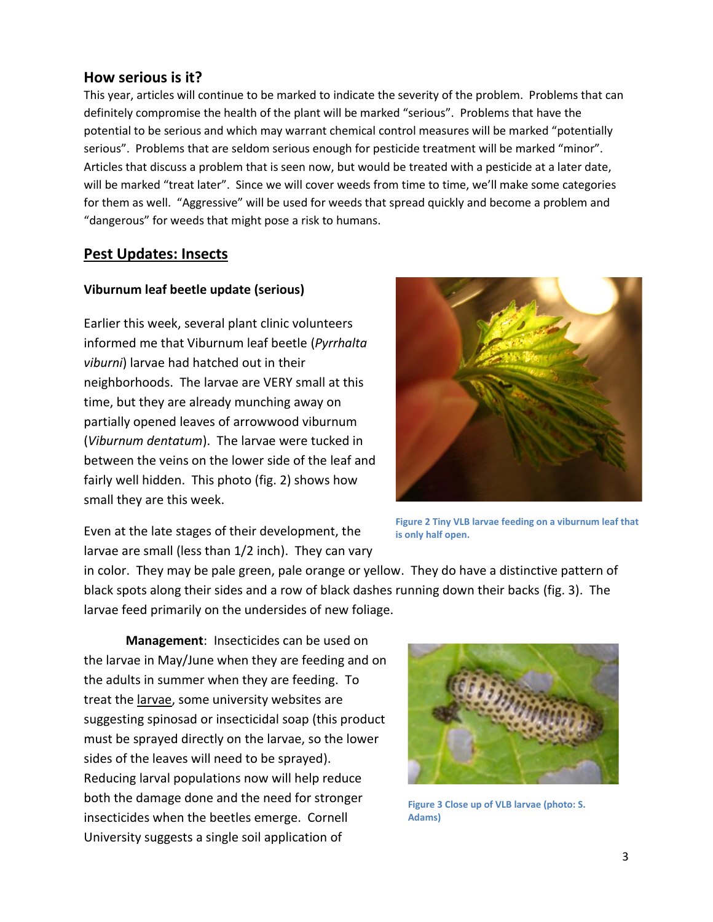## **How serious is it?**

This year, articles will continue to be marked to indicate the severity of the problem. Problems that can definitely compromise the health of the plant will be marked "serious".Problems that have the potential to be serious and which may warrant chemical control measures will be marked "potentially serious". Problems that are seldom serious enough for pesticide treatment will be marked "minor". Articles that discuss a problem that is seen now, but would be treated with a pesticide at a later date, will be marked "treat later". Since we will cover weeds from time to time, we'll make some categories for them as well. "Aggressive" will be used for weeds that spread quickly and become a problem and "dangerous" for weeds that might pose a risk to humans.

## **Pest Updates: Insects**

#### **Viburnum leaf beetle update (serious)**

Earlier this week, several plant clinic volunteers informed me that Viburnum leaf beetle (*Pyrrhalta viburni*) larvae had hatched out in their neighborhoods. The larvae are VERY small at this time, but they are already munching away on partially opened leaves of arrowwood viburnum (*Viburnum dentatum*). The larvae were tucked in between the veins on the lower side of the leaf and fairly well hidden. This photo (fig. 2) shows how small they are this week.



Even at the late stages of their development, the larvae are small (less than 1/2 inch). They can vary

**Figure 2 Tiny VLB larvae feeding on a viburnum leaf that is only half open.**

in color. They may be pale green, pale orange or yellow. They do have a distinctive pattern of black spots along their sides and a row of black dashes running down their backs (fig. 3). The larvae feed primarily on the undersides of new foliage.

**Management**: Insecticides can be used on the larvae in May/June when they are feeding and on the adults in summer when they are feeding. To treat the larvae, some university websites are suggesting spinosad or insecticidal soap (this product must be sprayed directly on the larvae, so the lower sides of the leaves will need to be sprayed). Reducing larval populations now will help reduce both the damage done and the need for stronger insecticides when the beetles emerge. Cornell University suggests a single soil application of



**Figure 3 Close up of VLB larvae (photo: S. Adams)**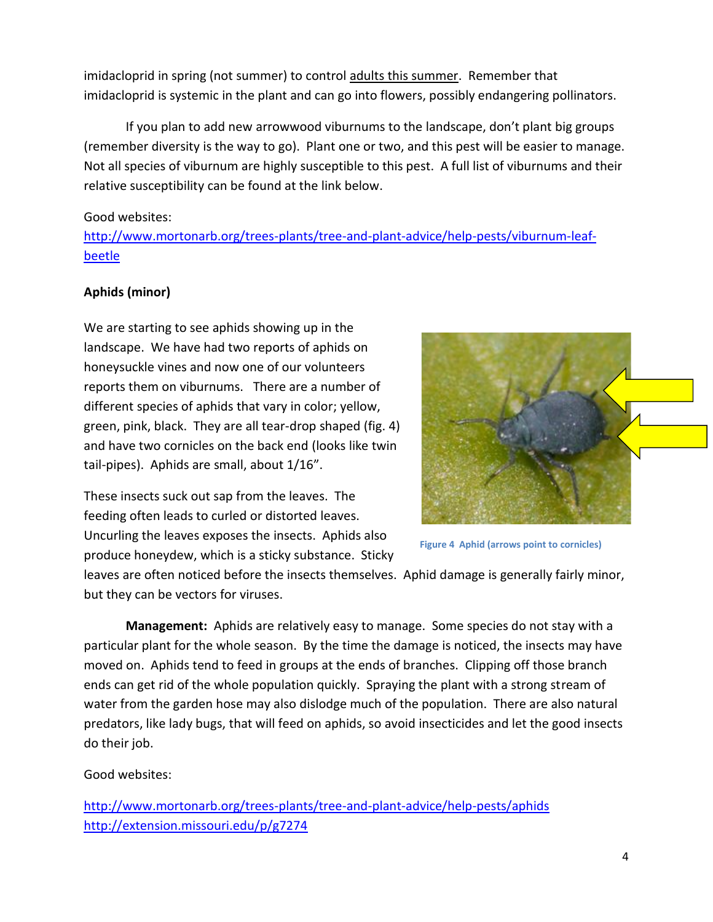imidacloprid in spring (not summer) to control adults this summer. Remember that imidacloprid is systemic in the plant and can go into flowers, possibly endangering pollinators.

If you plan to add new arrowwood viburnums to the landscape, don't plant big groups (remember diversity is the way to go). Plant one or two, and this pest will be easier to manage. Not all species of viburnum are highly susceptible to this pest. A full list of viburnums and their relative susceptibility can be found at the link below.

### Good websites:

[http://www.mortonarb.org/trees-plants/tree-and-plant-advice/help-pests/viburnum-leaf](http://www.mortonarb.org/trees-plants/tree-and-plant-advice/help-pests/viburnum-leaf-beetle)[beetle](http://www.mortonarb.org/trees-plants/tree-and-plant-advice/help-pests/viburnum-leaf-beetle)

# **Aphids (minor)**

We are starting to see aphids showing up in the landscape. We have had two reports of aphids on honeysuckle vines and now one of our volunteers reports them on viburnums. There are a number of different species of aphids that vary in color; yellow, green, pink, black. They are all tear-drop shaped (fig. 4) and have two cornicles on the back end (looks like twin tail-pipes). Aphids are small, about 1/16".

These insects suck out sap from the leaves. The feeding often leads to curled or distorted leaves. Uncurling the leaves exposes the insects. Aphids also produce honeydew, which is a sticky substance. Sticky



**Figure 4 Aphid (arrows point to cornicles)**

leaves are often noticed before the insects themselves. Aphid damage is generally fairly minor, but they can be vectors for viruses.

**Management:** Aphids are relatively easy to manage. Some species do not stay with a particular plant for the whole season. By the time the damage is noticed, the insects may have moved on. Aphids tend to feed in groups at the ends of branches. Clipping off those branch ends can get rid of the whole population quickly. Spraying the plant with a strong stream of water from the garden hose may also dislodge much of the population. There are also natural predators, like lady bugs, that will feed on aphids, so avoid insecticides and let the good insects do their job.

## Good websites:

<http://www.mortonarb.org/trees-plants/tree-and-plant-advice/help-pests/aphids> <http://extension.missouri.edu/p/g7274>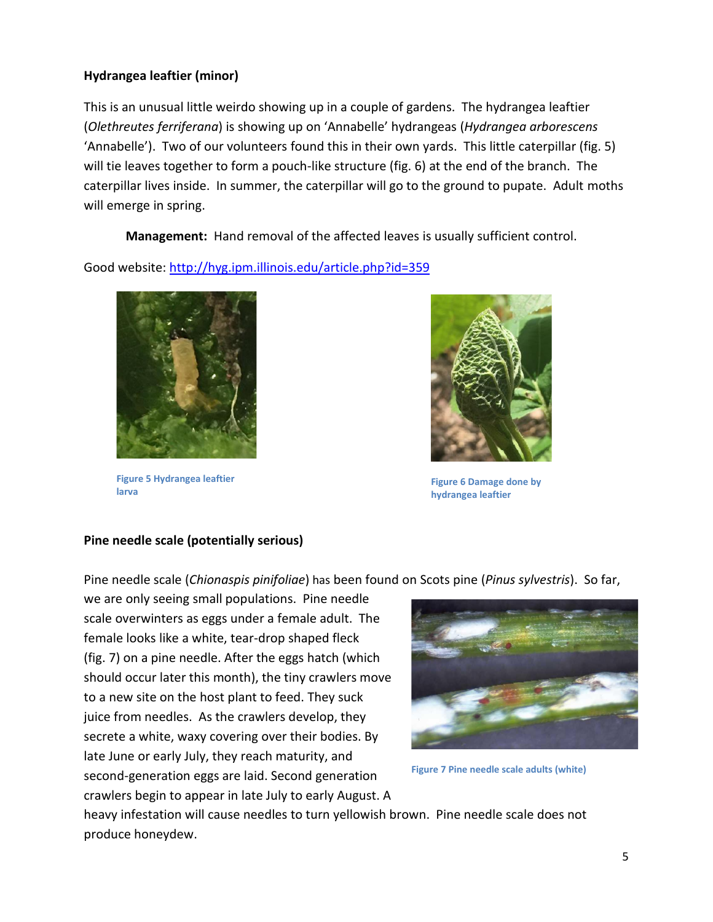### **Hydrangea leaftier (minor)**

This is an unusual little weirdo showing up in a couple of gardens. The hydrangea leaftier (*Olethreutes ferriferana*) is showing up on 'Annabelle' hydrangeas (*Hydrangea arborescens* 'Annabelle'). Two of our volunteers found this in their own yards. This little caterpillar (fig. 5) will tie leaves together to form a pouch-like structure (fig. 6) at the end of the branch. The caterpillar lives inside. In summer, the caterpillar will go to the ground to pupate. Adult moths will emerge in spring.

**Management:** Hand removal of the affected leaves is usually sufficient control.

Good website:<http://hyg.ipm.illinois.edu/article.php?id=359>



**Figure 5 Hydrangea leaftier larva**



**Figure 6 Damage done by hydrangea leaftier**

## **Pine needle scale (potentially serious)**

Pine needle scale (*Chionaspis pinifoliae*) has been found on Scots pine (*Pinus sylvestris*). So far,

we are only seeing small populations. Pine needle scale overwinters as eggs under a female adult. The female looks like a white, tear-drop shaped fleck (fig. 7) on a pine needle. After the eggs hatch (which should occur later this month), the tiny crawlers move to a new site on the host plant to feed. They suck juice from needles. As the crawlers develop, they secrete a white, waxy covering over their bodies. By late June or early July, they reach maturity, and second-generation eggs are laid. Second generation crawlers begin to appear in late July to early August. A



**Figure 7 Pine needle scale adults (white)**

heavy infestation will cause needles to turn yellowish brown. Pine needle scale does not produce honeydew.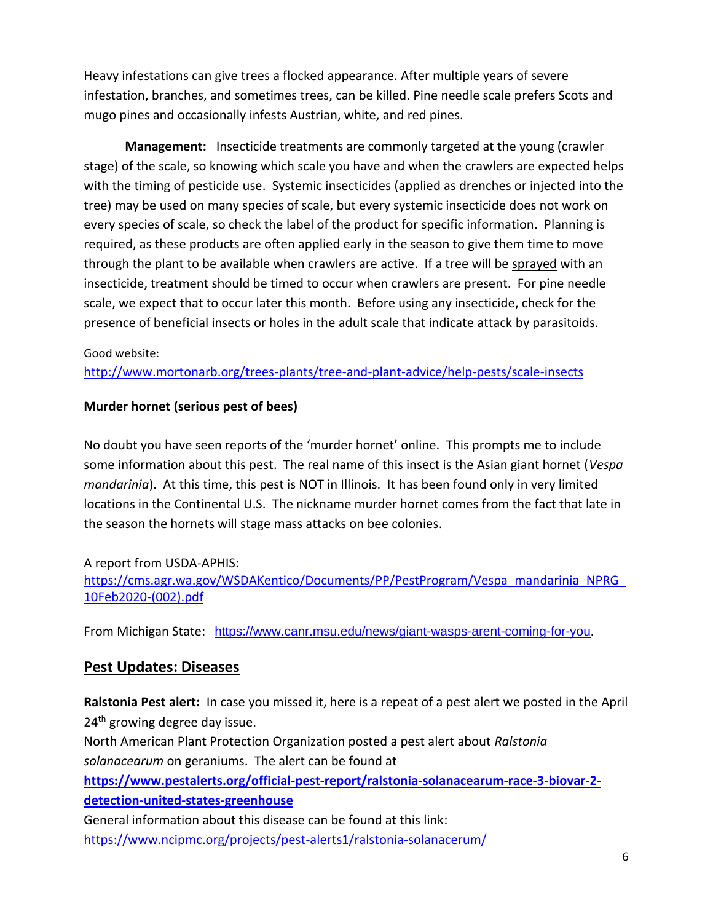Heavy infestations can give trees a flocked appearance. After multiple years of severe infestation, branches, and sometimes trees, can be killed. Pine needle scale prefers Scots and mugo pines and occasionally infests Austrian, white, and red pines.

 **Management:** Insecticide treatments are commonly targeted at the young (crawler stage) of the scale, so knowing which scale you have and when the crawlers are expected helps with the timing of pesticide use. Systemic insecticides (applied as drenches or injected into the tree) may be used on many species of scale, but every systemic insecticide does not work on every species of scale, so check the label of the product for specific information. Planning is required, as these products are often applied early in the season to give them time to move through the plant to be available when crawlers are active. If a tree will be sprayed with an insecticide, treatment should be timed to occur when crawlers are present. For pine needle scale, we expect that to occur later this month. Before using any insecticide, check for the presence of beneficial insects or holes in the adult scale that indicate attack by parasitoids.

#### Good website:

<http://www.mortonarb.org/trees-plants/tree-and-plant-advice/help-pests/scale-insects>

#### **Murder hornet (serious pest of bees)**

No doubt you have seen reports of the 'murder hornet' online. This prompts me to include some information about this pest. The real name of this insect is the Asian giant hornet (*Vespa mandarinia*). At this time, this pest is NOT in Illinois. It has been found only in very limited locations in the Continental U.S. The nickname murder hornet comes from the fact that late in the season the hornets will stage mass attacks on bee colonies.

## A report from USDA-APHIS:

[https://cms.agr.wa.gov/WSDAKentico/Documents/PP/PestProgram/Vespa\\_mandarinia\\_NPRG\\_](https://cms.agr.wa.gov/WSDAKentico/Documents/PP/PestProgram/Vespa_mandarinia_NPRG_10Feb2020-(002).pdf) [10Feb2020-\(002\).pdf](https://cms.agr.wa.gov/WSDAKentico/Documents/PP/PestProgram/Vespa_mandarinia_NPRG_10Feb2020-(002).pdf)

From Michigan State: <https://www.canr.msu.edu/news/giant-wasps-arent-coming-for-you>.

# **Pest Updates: Diseases**

**Ralstonia Pest alert:** In case you missed it, here is a repeat of a pest alert we posted in the April 24<sup>th</sup> growing degree day issue.

North American Plant Protection Organization posted a pest alert about *Ralstonia solanacearum* on geraniums. The alert can be found at

**[https://www.pestalerts.org/official-pest-report/ralstonia-solanacearum-race-3-biovar-2](https://www.pestalerts.org/official-pest-report/ralstonia-solanacearum-race-3-biovar-2-detection-united-states-greenhouse) [detection-united-states-greenhouse](https://www.pestalerts.org/official-pest-report/ralstonia-solanacearum-race-3-biovar-2-detection-united-states-greenhouse)**

General information about this disease can be found at this link: <https://www.ncipmc.org/projects/pest-alerts1/ralstonia-solanacerum/>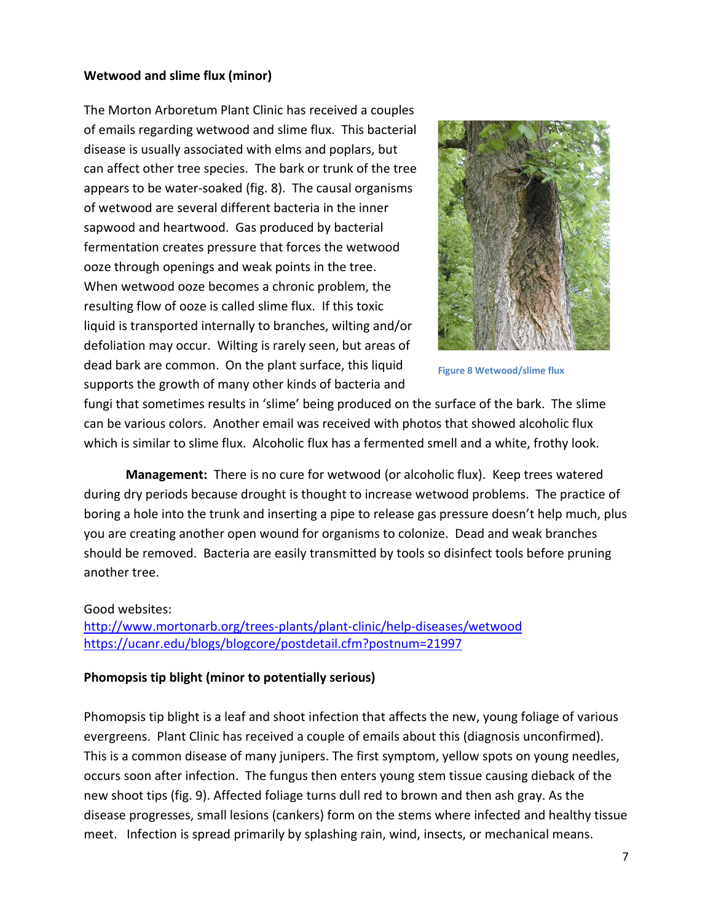#### **Wetwood and slime flux (minor)**

The Morton Arboretum Plant Clinic has received a couples of emails regarding wetwood and slime flux. This bacterial disease is usually associated with elms and poplars, but can affect other tree species. The bark or trunk of the tree appears to be water-soaked (fig. 8). The causal organisms of wetwood are several different bacteria in the inner sapwood and heartwood. Gas produced by bacterial fermentation creates pressure that forces the wetwood ooze through openings and weak points in the tree. When wetwood ooze becomes a chronic problem, the resulting flow of ooze is called slime flux. If this toxic liquid is transported internally to branches, wilting and/or defoliation may occur. Wilting is rarely seen, but areas of dead bark are common. On the plant surface, this liquid supports the growth of many other kinds of bacteria and



**Figure 8 Wetwood/slime flux**

fungi that sometimes results in 'slime' being produced on the surface of the bark. The slime can be various colors. Another email was received with photos that showed alcoholic flux which is similar to slime flux. Alcoholic flux has a fermented smell and a white, frothy look.

**Management:** There is no cure for wetwood (or alcoholic flux). Keep trees watered during dry periods because drought is thought to increase wetwood problems. The practice of boring a hole into the trunk and inserting a pipe to release gas pressure doesn't help much, plus you are creating another open wound for organisms to colonize. Dead and weak branches should be removed. Bacteria are easily transmitted by tools so disinfect tools before pruning another tree.

#### Good websites:

<http://www.mortonarb.org/trees-plants/plant-clinic/help-diseases/wetwood> https://ucanr.edu/blogs/blogcore/postdetail.cfm?postnum=21997

#### **Phomopsis tip blight (minor to potentially serious)**

Phomopsis tip blight is a leaf and shoot infection that affects the new, young foliage of various evergreens. Plant Clinic has received a couple of emails about this (diagnosis unconfirmed). This is a common disease of many junipers. The first symptom, yellow spots on young needles, occurs soon after infection. The fungus then enters young stem tissue causing dieback of the new shoot tips (fig. 9). Affected foliage turns dull red to brown and then ash gray. As the disease progresses, small lesions (cankers) form on the stems where infected and healthy tissue meet. Infection is spread primarily by splashing rain, wind, insects, or mechanical means.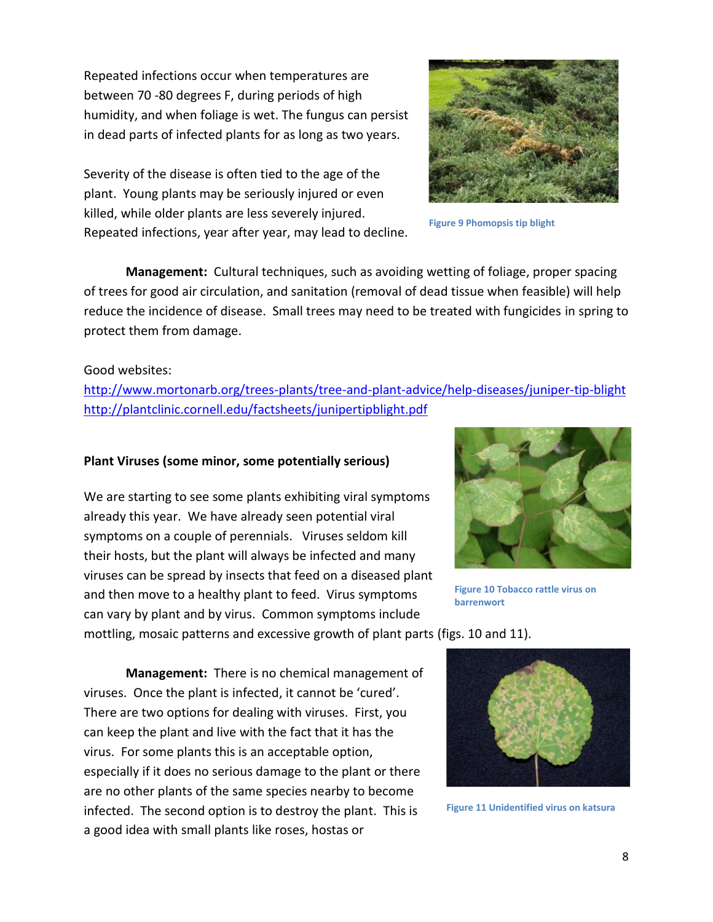Repeated infections occur when temperatures are between 70 -80 degrees F, during periods of high humidity, and when foliage is wet. The fungus can persist in dead parts of infected plants for as long as two years.

Severity of the disease is often tied to the age of the plant. Young plants may be seriously injured or even killed, while older plants are less severely injured. Repeated infections, year after year, may lead to decline.



**Figure 9 Phomopsis tip blight**

**Management:** Cultural techniques, such as avoiding wetting of foliage, proper spacing of trees for good air circulation, and sanitation (removal of dead tissue when feasible) will help reduce the incidence of disease. Small trees may need to be treated with fungicides in spring to protect them from damage.

#### Good websites:

<http://www.mortonarb.org/trees-plants/tree-and-plant-advice/help-diseases/juniper-tip-blight> <http://plantclinic.cornell.edu/factsheets/junipertipblight.pdf>

#### **Plant Viruses (some minor, some potentially serious)**

We are starting to see some plants exhibiting viral symptoms already this year. We have already seen potential viral symptoms on a couple of perennials. Viruses seldom kill their hosts, but the plant will always be infected and many viruses can be spread by insects that feed on a diseased plant and then move to a healthy plant to feed. Virus symptoms can vary by plant and by virus. Common symptoms include



**Figure 10 Tobacco rattle virus on barrenwort**

mottling, mosaic patterns and excessive growth of plant parts (figs. 10 and 11).

**Management:** There is no chemical management of viruses. Once the plant is infected, it cannot be 'cured'. There are two options for dealing with viruses. First, you can keep the plant and live with the fact that it has the virus. For some plants this is an acceptable option, especially if it does no serious damage to the plant or there are no other plants of the same species nearby to become infected. The second option is to destroy the plant. This is a good idea with small plants like roses, hostas or



**Figure 11 Unidentified virus on katsura**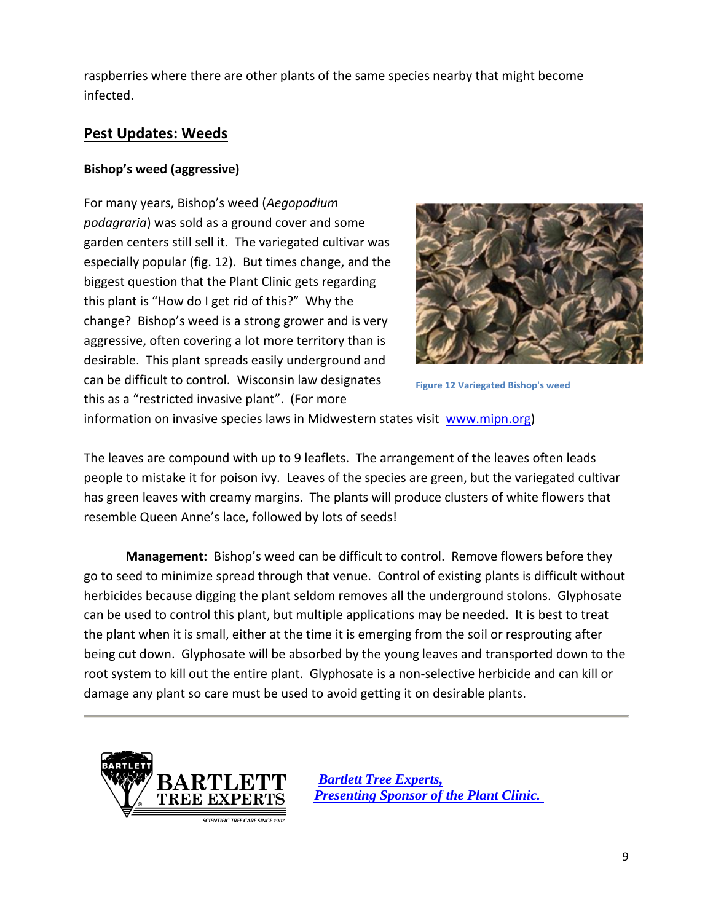raspberries where there are other plants of the same species nearby that might become infected.

# **Pest Updates: Weeds**

## **Bishop's weed (aggressive)**

For many years, Bishop's weed (*Aegopodium podagraria*) was sold as a ground cover and some garden centers still sell it. The variegated cultivar was especially popular (fig. 12). But times change, and the biggest question that the Plant Clinic gets regarding this plant is "How do I get rid of this?" Why the change? Bishop's weed is a strong grower and is very aggressive, often covering a lot more territory than is desirable. This plant spreads easily underground and can be difficult to control. Wisconsin law designates this as a "restricted invasive plant". (For more



**Figure 12 Variegated Bishop's weed**

information on invasive species laws in Midwestern states visit [www.mipn.org\)](http://www.mipn.org/)

The leaves are compound with up to 9 leaflets. The arrangement of the leaves often leads people to mistake it for poison ivy. Leaves of the species are green, but the variegated cultivar has green leaves with creamy margins. The plants will produce clusters of white flowers that resemble Queen Anne's lace, followed by lots of seeds!

**Management:** Bishop's weed can be difficult to control. Remove flowers before they go to seed to minimize spread through that venue. Control of existing plants is difficult without herbicides because digging the plant seldom removes all the underground stolons. Glyphosate can be used to control this plant, but multiple applications may be needed. It is best to treat the plant when it is small, either at the time it is emerging from the soil or resprouting after being cut down. Glyphosate will be absorbed by the young leaves and transported down to the root system to kill out the entire plant. Glyphosate is a non-selective herbicide and can kill or damage any plant so care must be used to avoid getting it on desirable plants.



 *[Bartlett Tree Experts,](http://www.bartlett.com/)   [Presenting Sponsor of the Plant Clinic.](http://www.bartlett.com/)*